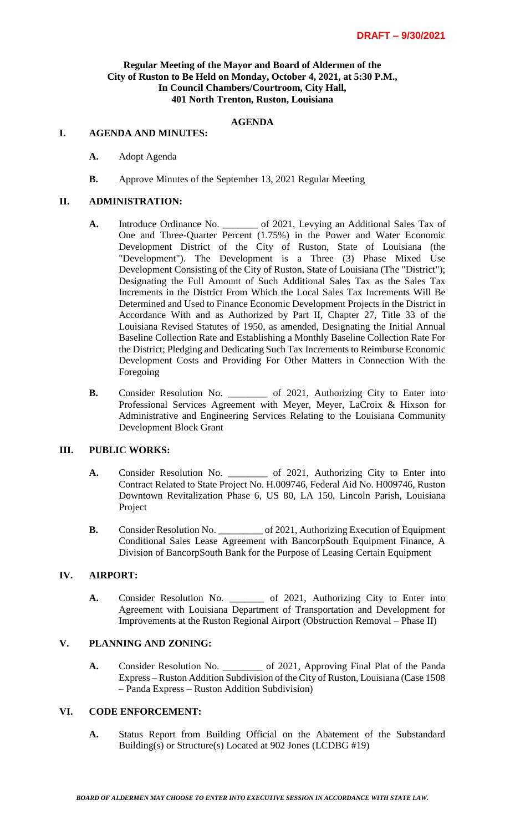### **Regular Meeting of the Mayor and Board of Aldermen of the City of Ruston to Be Held on Monday, October 4, 2021, at 5:30 P.M., In Council Chambers/Courtroom, City Hall, 401 North Trenton, Ruston, Louisiana**

## **AGENDA**

#### **I. AGENDA AND MINUTES:**

- **A.** Adopt Agenda
- **B.** Approve Minutes of the September 13, 2021 Regular Meeting

#### **II. ADMINISTRATION:**

- **A.** Introduce Ordinance No. \_\_\_\_\_\_\_ of 2021, Levying an Additional Sales Tax of One and Three-Quarter Percent (1.75%) in the Power and Water Economic Development District of the City of Ruston, State of Louisiana (the "Development"). The Development is a Three (3) Phase Mixed Use Development Consisting of the City of Ruston, State of Louisiana (The "District"); Designating the Full Amount of Such Additional Sales Tax as the Sales Tax Increments in the District From Which the Local Sales Tax Increments Will Be Determined and Used to Finance Economic Development Projects in the District in Accordance With and as Authorized by Part II, Chapter 27, Title 33 of the Louisiana Revised Statutes of 1950, as amended, Designating the Initial Annual Baseline Collection Rate and Establishing a Monthly Baseline Collection Rate For the District; Pledging and Dedicating Such Tax Increments to Reimburse Economic Development Costs and Providing For Other Matters in Connection With the Foregoing
- **B.** Consider Resolution No. \_\_\_\_\_\_\_\_ of 2021, Authorizing City to Enter into Professional Services Agreement with Meyer, Meyer, LaCroix & Hixson for Administrative and Engineering Services Relating to the Louisiana Community Development Block Grant

### **III. PUBLIC WORKS:**

- **A.** Consider Resolution No. \_\_\_\_\_\_\_\_ of 2021, Authorizing City to Enter into Contract Related to State Project No. H.009746, Federal Aid No. H009746, Ruston Downtown Revitalization Phase 6, US 80, LA 150, Lincoln Parish, Louisiana Project
- **B.** Consider Resolution No. \_\_\_\_\_\_\_\_\_ of 2021, Authorizing Execution of Equipment Conditional Sales Lease Agreement with BancorpSouth Equipment Finance, A Division of BancorpSouth Bank for the Purpose of Leasing Certain Equipment

## **IV. AIRPORT:**

**A.** Consider Resolution No. \_\_\_\_\_\_\_ of 2021, Authorizing City to Enter into Agreement with Louisiana Department of Transportation and Development for Improvements at the Ruston Regional Airport (Obstruction Removal – Phase II)

## **V. PLANNING AND ZONING:**

**A.** Consider Resolution No. \_\_\_\_\_\_\_\_ of 2021, Approving Final Plat of the Panda Express – Ruston Addition Subdivision of the City of Ruston, Louisiana (Case 1508 – Panda Express – Ruston Addition Subdivision)

### **VI. CODE ENFORCEMENT:**

**A.** Status Report from Building Official on the Abatement of the Substandard Building(s) or Structure(s) Located at 902 Jones (LCDBG #19)